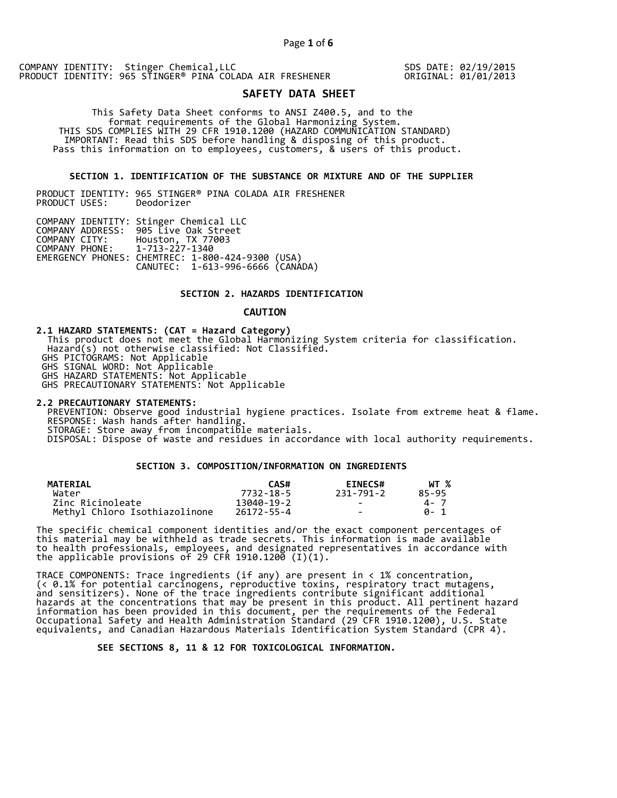SDS DATE: 02/19/2015 ORIGINAL: 01/01/2013

# **SAFETY DATA SHEET**

 This Safety Data Sheet conforms to ANSI Z400.5, and to the format requirements of the Global Harmonizing System. THIS SDS COMPLIES WITH 29 CFR 1910.1200 (HAZARD COMMUNICATION STANDARD) IMPORTANT: Read this SDS before handling & disposing of this product. Pass this information on to employees, customers, & users of this product.

## **SECTION 1. IDENTIFICATION OF THE SUBSTANCE OR MIXTURE AND OF THE SUPPLIER**

PRODUCT IDENTITY: 965 STINGER® PINA COLADA AIR FRESHENER PRODUCT USES:

|                               | COMPANY IDENTITY: Stinger Chemical LLC           |  |
|-------------------------------|--------------------------------------------------|--|
|                               | COMPANY ADDRESS: 905 Live Oak Street             |  |
| COMPANY CITY:                 | Houston, TX 77003                                |  |
| COMPANY PHONE: 1-713-227-1340 |                                                  |  |
|                               | EMERGENCY PHONES: CHEMTREC: 1-800-424-9300 (USA) |  |
|                               | CANUTEC: 1-613-996-6666 (CANÁDA)                 |  |

## **SECTION 2. HAZARDS IDENTIFICATION**

#### **CAUTION**

**2.1 HAZARD STATEMENTS: (CAT = Hazard Category)** This product does not meet the Global Harmonizing System criteria for classification. Hazard(s) not otherwise classified: Not Classified. GHS PICTOGRAMS: Not Applicable GHS SIGNAL WORD: Not Applicable GHS HAZARD STATEMENTS: Not Applicable GHS PRECAUTIONARY STATEMENTS: Not Applicable

**2.2 PRECAUTIONARY STATEMENTS:**  PREVENTION: Observe good industrial hygiene practices. Isolate from extreme heat & flame. RESPONSE: Wash hands after handling. STORAGE: Store away from incompatible materials. DISPOSAL: Dispose of waste and residues in accordance with local authority requirements.

# **SECTION 3. COMPOSITION/INFORMATION ON INGREDIENTS**

| <b>MATERIAL</b>               | CAS#       | <b>EINECS#</b> | WT %  |
|-------------------------------|------------|----------------|-------|
| Water                         | 7732-18-5  | 231-791-2      | 85-95 |
| Zinc Ricinoleate              | 13040-19-2 | $\sim$         | 4 - 7 |
| Methyl Chloro Isothiazolinone | 26172-55-4 | $\sim$         | A-1   |

The specific chemical component identities and/or the exact component percentages of this material may be withheld as trade secrets. This information is made available to health professionals, employees, and designated representatives in accordance with the applicable provisions of 29 CFR 1910.1200̄ (I)(1).  $\overline{\phantom{a}}$ 

TRACE COMPONENTS: Trace ingredients (if any) are present in < 1% concentration, (< 0.1% for potential carcinogens, reproductive toxins, respiratory tract mutagens, and sensitizers). None of the trace ingredients contribute significant additional hazards at the concentrations that may be present in this product. All pertinent hazard information has been provided in this document, per the requirements of the Federal Occupational Safety and Health Administration Standard (29 CFR 1910.1200), U.S. State equivalents, and Canadian Hazardous Materials Identification System Standard (CPR 4).

 **SEE SECTIONS 8, 11 & 12 FOR TOXICOLOGICAL INFORMATION.**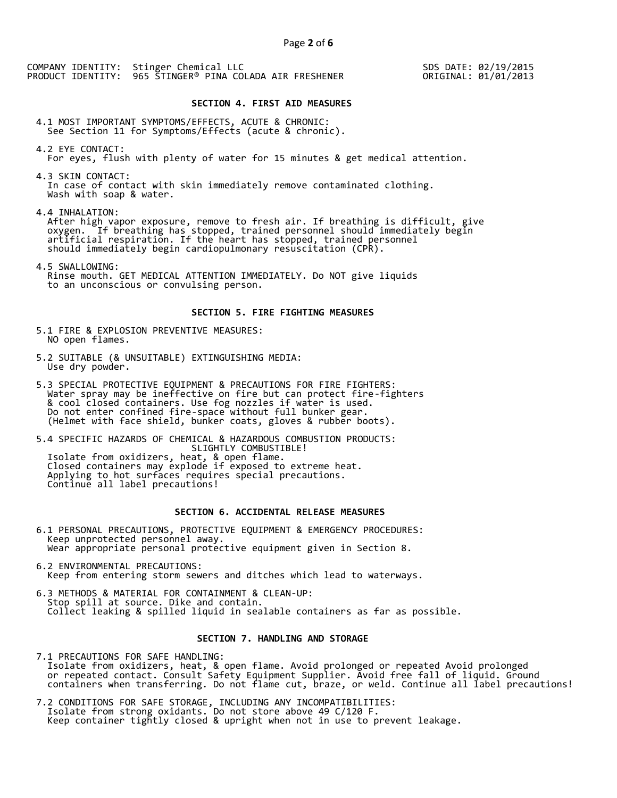SDS DATE: 02/19/2015 ORIGINAL: 01/01/2013

#### **SECTION 4. FIRST AID MEASURES**

4.1 MOST IMPORTANT SYMPTOMS/EFFECTS, ACUTE & CHRONIC: See Section 11 for Symptoms/Effects (acute & chronic).

- 4.2 EYE CONTACT: For eyes, flush with plenty of water for 15 minutes & get medical attention.
- 4.3 SKIN CONTACT: In case of contact with skin immediately remove contaminated clothing. Wash with soap & water.

4.4 INHALATION:

 After high vapor exposure, remove to fresh air. If breathing is difficult, give oxygen. If breathing has stopped, trained personnel should immediately begin artificial respiration. If the heart has stopped, trained personnel should immediately begin cardiopulmonary resuscitation (CPR).

4.5 SWALLOWING: Rinse mouth. GET MEDICAL ATTENTION IMMEDIATELY. Do NOT give liquids to an unconscious or convulsing person.

#### **SECTION 5. FIRE FIGHTING MEASURES**

- 5.1 FIRE & EXPLOSION PREVENTIVE MEASURES: NO open flames.
- 5.2 SUITABLE (& UNSUITABLE) EXTINGUISHING MEDIA: Use dry powder.
- 5.3 SPECIAL PROTECTIVE EQUIPMENT & PRECAUTIONS FOR FIRE FIGHTERS: Water spray may be ineffective on fire but can protect fire-fighters & cool closed containers. Use fog nozzles if water is used. Do not enter confined fire-space without full bunker gear. (Helmet with face shield, bunker coats, gloves & rubber boots).

5.4 SPECIFIC HAZARDS OF CHEMICAL & HAZARDOUS COMBUSTION PRODUCTS: SLIGHTLY COMBUSTIBLE! Isolate from oxidizers, heat, & open flame. Closed containers may explode if exposed to extreme heat. Applying to hot surfaces requires special precautions. Continue all label precautions!

# **SECTION 6. ACCIDENTAL RELEASE MEASURES**

- 6.1 PERSONAL PRECAUTIONS, PROTECTIVE EQUIPMENT & EMERGENCY PROCEDURES: Keep unprotected personnel away. Wear appropriate personal protective equipment given in Section 8.
- 6.2 ENVIRONMENTAL PRECAUTIONS: Keep from entering storm sewers and ditches which lead to waterways.
- 6.3 METHODS & MATERIAL FOR CONTAINMENT & CLEAN-UP: Stop spill at source. Dike and contain. Collect leaking & spilled liquid in sealable containers as far as possible.

# **SECTION 7. HANDLING AND STORAGE**

7.1 PRECAUTIONS FOR SAFE HANDLING: Isolate from oxidizers, heat, & open flame. Avoid prolonged or repeated Avoid prolonged or repeated contact. Consult Safety Equipment Supplier. Avoid free fall of liquid. Ground containers when transferring. Do not flame cut, braze, or weld. Continue all label precautions!

7.2 CONDITIONS FOR SAFE STORAGE, INCLUDING ANY INCOMPATIBILITIES: Isolate from strong oxidants. Do not store above 49 C/120 F. Keep container tightly closed & upright when not in use to prevent leakage.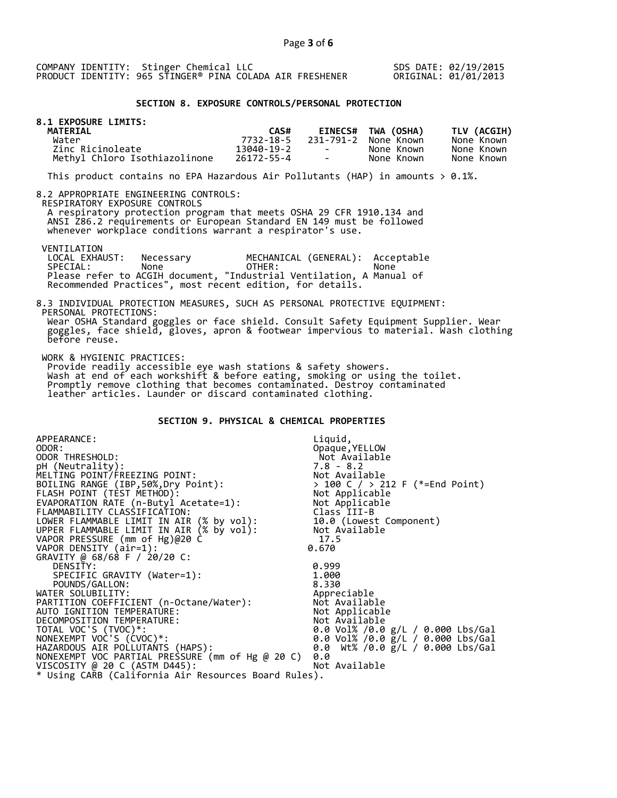SDS DATE: 02/19/2015 ORIGINAL: 01/01/2013

# **SECTION 8. EXPOSURE CONTROLS/PERSONAL PROTECTION**

| 8.1 EXPOSURE LIMITS:<br>MATERIAL |            |                          |                      |             |
|----------------------------------|------------|--------------------------|----------------------|-------------|
|                                  | CAS#       |                          | EINECS# TWA (OSHA)   | TLV (ACGIH) |
| Water                            | 7732-18-5  |                          | 231-791-2 None Known | None Known  |
| Zinc Ricinoleate                 | 13040-19-2 | <b>Contract Contract</b> | None Known           | None Known  |
| Methyl Chloro Isothiazolinone    | 26172-55-4 | <b>Contract Contract</b> | None Known           | None Known  |

This product contains no EPA Hazardous Air Pollutants (HAP) in amounts  $> 0.1\%$ .

#### 8.2 APPROPRIATE ENGINEERING CONTROLS:

RESPIRATORY EXPOSURE CONTROLS

 A respiratory protection program that meets OSHA 29 CFR 1910.134 and ANSI Z86.2 requirements or European Standard EN 149 must be followed whenever workplace conditions warrant a respirator's use.

# VENTILATION<br>LOCAL EXHAUST:

before reuse.

LOCAL EXHAUST: Necessary MECHANICAL (GENERAL): Acceptable<br>SPECIAL: None OTHER: None SPECIAL: None OTHER: None Please refer to ACGIH document, "Industrial Ventilation, A Manual of Recommended Practices", most recent edition, for details.

#### 8.3 INDIVIDUAL PROTECTION MEASURES, SUCH AS PERSONAL PROTECTIVE EQUIPMENT: PERSONAL PROTECTIONS: Wear OSHA Standard goggles or face shield. Consult Safety Equipment Supplier. Wear goggles, face shield, gloves, apron & footwear impervious to material. Wash clothing

WORK & HYGIENIC PRACTICES:

 Provide readily accessible eye wash stations & safety showers. Wash at end of each workshift & before eating, smoking or using the toilet. Promptly remove clothing that becomes contaminated. Destroy contaminated leather articles. Launder or discard contaminated clothing.

# **SECTION 9. PHYSICAL & CHEMICAL PROPERTIES**

| APPEARANCE:                                                         | Liquid,                                                                            |
|---------------------------------------------------------------------|------------------------------------------------------------------------------------|
| ODOR:                                                               | Opaque, YELLOW                                                                     |
| ODOR THRESHOLD:                                                     | Not Available                                                                      |
| pH (Neutrality):                                                    |                                                                                    |
| MELTING POINT/FREEZING POINT:                                       |                                                                                    |
| BOILING RANGE (IBP, 50%, Dry Point):                                | > 100 C / > 212 F (*=End Point)                                                    |
|                                                                     | 7.8 - o.∠<br>Not Available<br>> 100 C / > 212<br>Not Applicable<br>''-+ Annlicable |
| FLASH POINT (TÈST METHÓD):<br>EVAPORATION RATE (n-Butyl Acetate=1): | Not Applicable                                                                     |
| FLAMMABILITY CLASSIFICATION:                                        | Class III-B                                                                        |
| LOWER FLAMMABLE LIMIT IN AIR (% by vol):                            | 10.0 (Lowest Component)                                                            |
| UPPER FLAMMABLE LIMIT IN AIR $(X$ by vol):                          | Not Available                                                                      |
| VAPOR PRESSURE (mm of Hg)@20 C                                      | 17.5                                                                               |
| VAPOR DENSITY (air=1):                                              | 0.670                                                                              |
| GRAVITY @ 68/68 F / 20/20 C:                                        |                                                                                    |
| DENSITY:                                                            | 0.999                                                                              |
| SPECIFIC GRAVITY (Water=1):                                         | 1.000                                                                              |
| POUNDS/GALLON:                                                      | 8.330                                                                              |
| WATER SOLUBILITY:                                                   | Appreciable                                                                        |
| PARTITION COEFFICIENT (n-Octane/Water):                             | Not Available                                                                      |
| AUTO IGNITION TEMPERATURE:                                          | Not Applicable                                                                     |
| DECOMPOSITION TEMPERATURE:                                          | Not Available                                                                      |
| TOTAL VOC'S (TVOC)*:                                                | 0.0 Vol% /0.0 g/L / 0.000 Lbs/Gal                                                  |
| NONEXEMPT VOC'S (CVOC)*:                                            | 0.0 Vol% /0.0 $\bar{g}/L$ / 0.000 Lbs/Gal                                          |
| HAZARDOUS AIR POLLUTANTS (HAPS):                                    | 0.0 Wt% /0.0 g/L / 0.000 Lbs/Gal                                                   |
| NONEXEMPT VOC PARTIAL PRESSURE (mm of Hg @ 20 C)                    | 0.0                                                                                |
| VISCOSITY @ 20 C (ASTM D445):                                       | Not Available                                                                      |
| * Using CARB (California Air Resources Board Rules).                |                                                                                    |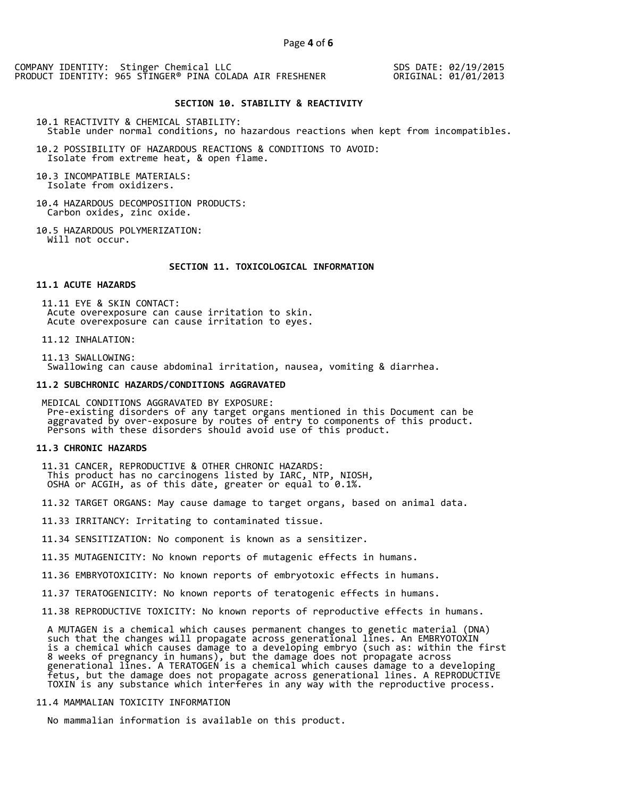SDS DATE: 02/19/2015 ORIGINAL: 01/01/2013

#### **SECTION 10. STABILITY & REACTIVITY**

10.1 REACTIVITY & CHEMICAL STABILITY: Stable under normal conditions, no hazardous reactions when kept from incompatibles.

10.2 POSSIBILITY OF HAZARDOUS REACTIONS & CONDITIONS TO AVOID: Isolate from extreme heat, & open flame.

10.3 INCOMPATIBLE MATERIALS: Isolate from oxidizers.

10.4 HAZARDOUS DECOMPOSITION PRODUCTS: Carbon oxides, zinc oxide.

10.5 HAZARDOUS POLYMERIZATION: Will not occur.

#### **SECTION 11. TOXICOLOGICAL INFORMATION**

## **11.1 ACUTE HAZARDS**

 11.11 EYE & SKIN CONTACT: Acute overexposure can cause irritation to skin. Acute overexposure can cause irritation to eyes.

11.12 INHALATION:

 11.13 SWALLOWING: Swallowing can cause abdominal irritation, nausea, vomiting & diarrhea.

#### **11.2 SUBCHRONIC HAZARDS/CONDITIONS AGGRAVATED**

 MEDICAL CONDITIONS AGGRAVATED BY EXPOSURE: Pre-existing disorders of any target organs mentioned in this Document can be aggravated by over-exposure by routes of entry to components of this product. Persons with these disorders should avoid use of this product.

#### **11.3 CHRONIC HAZARDS**

 11.31 CANCER, REPRODUCTIVE & OTHER CHRONIC HAZARDS: This product has no carcinogens listed by IARC, NTP, NIOSH, OSHA or ACGIH, as of this date, greater or equal to 0.1%.

11.32 TARGET ORGANS: May cause damage to target organs, based on animal data.

11.33 IRRITANCY: Irritating to contaminated tissue.

11.34 SENSITIZATION: No component is known as a sensitizer.

11.35 MUTAGENICITY: No known reports of mutagenic effects in humans.

11.36 EMBRYOTOXICITY: No known reports of embryotoxic effects in humans.

11.37 TERATOGENICITY: No known reports of teratogenic effects in humans.

11.38 REPRODUCTIVE TOXICITY: No known reports of reproductive effects in humans.

 A MUTAGEN is a chemical which causes permanent changes to genetic material (DNA) such that the changes will propagate across generational lines. An EMBRYOTOXIN is a chemical which causes damage to a developing embryo (such as: within the first 8 weeks of pregnancy in humans), but the damage does not propagate across generational lines. A TERATOGEN is a chemical which causes damage to a developing fetus, but the damage does not propagate across generational lines. A REPRODUCTIVE TOXIN is any substance which interferes in any way with the reproductive process.

# 11.4 MAMMALIAN TOXICITY INFORMATION

No mammalian information is available on this product.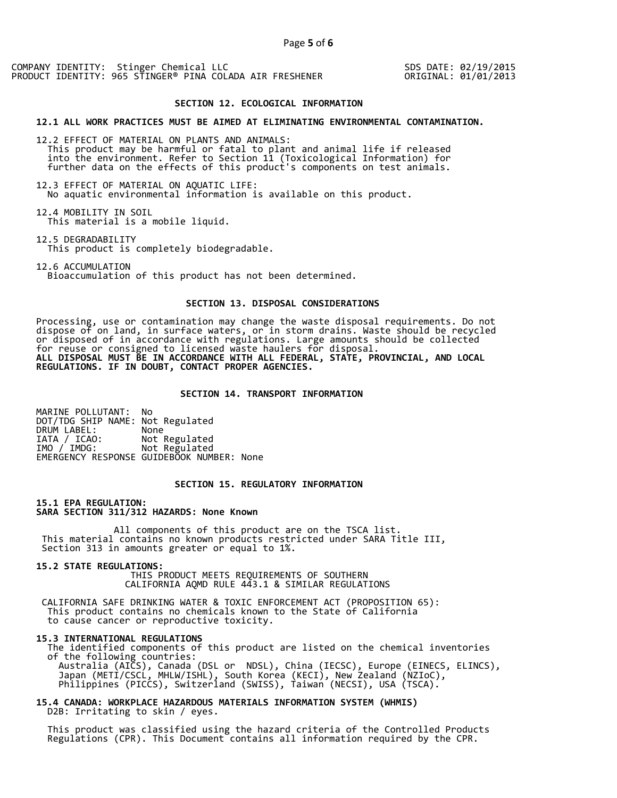SDS DATE: 02/19/2015 ORIGINAL: 01/01/2013

#### **SECTION 12. ECOLOGICAL INFORMATION**

**12.1 ALL WORK PRACTICES MUST BE AIMED AT ELIMINATING ENVIRONMENTAL CONTAMINATION.** 

12.2 EFFECT OF MATERIAL ON PLANTS AND ANIMALS: This product may be harmful or fatal to plant and animal life if released into the environment. Refer to Section 11 (Toxicological Information) for further data on the effects of this product's components on test animals.

12.3 EFFECT OF MATERIAL ON AQUATIC LIFE: No aquatic environmental information is available on this product.

12.4 MOBILITY IN SOIL This material is a mobile liquid.

12.5 DEGRADABILITY This product is completely biodegradable.

12.6 ACCUMULATION Bioaccumulation of this product has not been determined.

# **SECTION 13. DISPOSAL CONSIDERATIONS**

Processing, use or contamination may change the waste disposal requirements. Do not dispose of on land, in surface waters, or in storm drains. Waste should be recycled or disposed of in accordance with regulations. Large amounts should be collected for reuse or consigned to licensed waste haulers for disposal. **ALL DISPOSAL MUST BE IN ACCORDANCE WITH ALL FEDERAL, STATE, PROVINCIAL, AND LOCAL REGULATIONS. IF IN DOUBT, CONTACT PROPER AGENCIES.** 

#### **SECTION 14. TRANSPORT INFORMATION**

MARINE POLLUTANT: No DOT/TDG SHIP NAME: Not Regulated DRUM LABEL:<br>IATA / ICAO: IATA / ICAO: Not Regulated<br>IMO / IMDG: Not Regulated Not Regulated EMERGENCY RESPONSE GUIDEBOOK NUMBER: None

# **SECTION 15. REGULATORY INFORMATION**

**15.1 EPA REGULATION: SARA SECTION 311/312 HAZARDS: None Known** 

All components of this product are on the TSCA list. This material contains no known products restricted under SARA Title III, Section 313 in amounts greater or equal to 1%.

**15.2 STATE REGULATIONS:**

 THIS PRODUCT MEETS REQUIREMENTS OF SOUTHERN CALIFORNIA AQMD RULE 443.1 & SIMILAR REGULATIONS

 CALIFORNIA SAFE DRINKING WATER & TOXIC ENFORCEMENT ACT (PROPOSITION 65): This product contains no chemicals known to the State of California to cause cancer or reproductive toxicity.

#### **15.3 INTERNATIONAL REGULATIONS**

 The identified components of this product are listed on the chemical inventories of the following countries: Australia (AICS), Canada (DSL or NDSL), China (IECSC), Europe (EINECS, ELINCS), Japan (METI/CSCL, MHLW/ISHL), South Korea (KECI), New Zealand (NZIoC), Philippines (PICCS), Switzerland (SWISS), Taiwan (NECSI), USA (TSCA).

**15.4 CANADA: WORKPLACE HAZARDOUS MATERIALS INFORMATION SYSTEM (WHMIS)**  D2B: Irritating to skin / eyes.

 This product was classified using the hazard criteria of the Controlled Products Regulations (CPR). This Document contains all information required by the CPR.